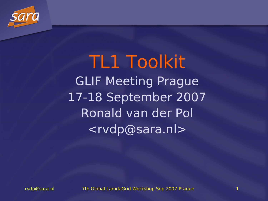

TL1 Toolkit GLIF Meeting Prague 17-18 September 2007 Ronald van der Pol <rvdp@sara.nl>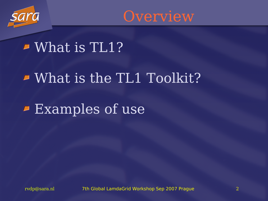



### What is TL1?

### $\blacktriangleright$  What is the TL1 Toolkit?

### Examples of use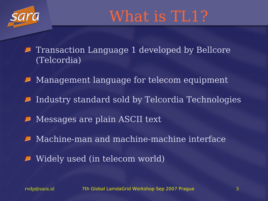

## What is TL1?

Transaction Language 1 developed by Bellcore IJ (Telcordia)

 $\blacksquare$  Management language for telecom equipment

 $\blacksquare$  Industry standard sold by Telcordia Technologies

- **Messages are plain ASCII text**
- Machine-man and machine-machine interface D
- Widely used (in telecom world)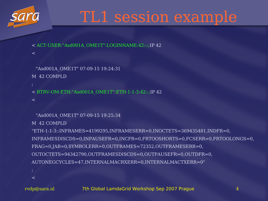

## TL1 session example

- < ACT-USER:"Asd001A\_OME1T":LOGINNAME:42:::;IP 42
- "Asd001A\_OME1T" 07-09-15 19:24:31

M 42 COMPLD

 $\lt$ 

< RTRV-OM-ETH:"Asd001A\_OME1T":ETH-1-1-3:42::;IP 42

 $\lt$ 

```
"Asd001A_OME1T" 07-09-15 19:25:34
```
M 42 COMPLD

```
"ETH-1-1-3::INFRAMES=4199295,INFRAMESERR=0,INOCTETS=369435481,INDFR=0,
INFRAMESDISCDS=0,INPAUSEFR=0,INCFR=0,FRTOOSHORTS=0,FCSERR=0,FRTOOLONGS=0,
FRAG=0,JAB=0,SYMBOLERR=0,OUTFRAMES=72352,OUTFRAMESERR=0,
OUTOCTETS=94342790,OUTFRAMESDISCDS=0,OUTPAUSEFR=0,OUTDFR=0,
AUTONEGCYCLES=47,INTERNALMACRXERR=0,INTERNALMACTXERR=0"
```
 $\lt$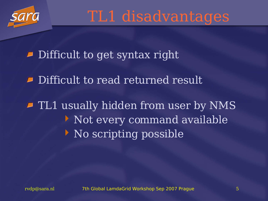

TL1 disadvantages

**P** Difficult to get syntax right

**P** Difficult to read returned result

**Fig. 1** TL1 usually hidden from user by NMS Not every command available No scripting possible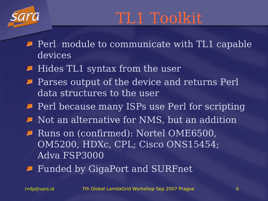

- $\blacksquare$  Perl module to communicate with TL1 capable devices
- $\blacktriangleright$  Hides TL1 syntax from the user
- **Parses output of the device and returns Perl** data structures to the user
- **Perl because many ISPs use Perl for scripting**
- $\blacksquare$  Not an alternative for NMS, but an addition
- **P** Runs on (confirmed): Nortel OME6500, OM5200, HDXc, CPL; Cisco ONS15454; Adva FSP3000
- Funded by GigaPort and SURFnet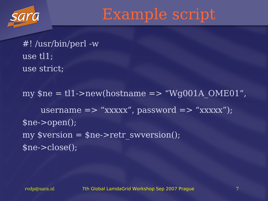

Example script

#! /usr/bin/perl -w use tl1; use strict;

my \$ne = tl1->new(hostname => "Wg001A\_OME01" , username  $\Rightarrow$  "xxxxx", password  $\Rightarrow$  "xxxxx"); \$ne->open();  $my \overline{s} \overline{version} = \overline{s} \overline{ne} \overline{--r} \overline{er} \overline{s} \overline{w} \overline{version}$ (); \$ne->close();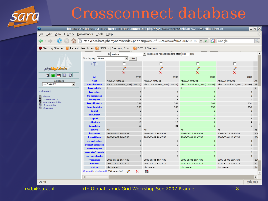## Crossconnect database

|                                                                                                   |                                                                                                                                |                             | localhost / localhost / surfnet6 / crossconnects   phpMyAdmin 2.8.2-Debian-0.2 - Mozilla Firefox |                             |                             | $ \mathbf{F} \mathsf{X}$ |   |
|---------------------------------------------------------------------------------------------------|--------------------------------------------------------------------------------------------------------------------------------|-----------------------------|--------------------------------------------------------------------------------------------------|-----------------------------|-----------------------------|--------------------------|---|
| Edit View History Bookmarks Tools Help<br><b>Eile</b>                                             |                                                                                                                                |                             |                                                                                                  |                             |                             |                          |   |
|                                                                                                   |                                                                                                                                |                             | http://localhost/phpmyadmin/index.php?lang=en-utf-8&token=efc04d903282199  v                     | $\triangleright$            | $\boxed{\text{G}}$ - Google | $\mathbb{Q}$             |   |
| ♦ Getting Started & Latest Headlines & NOS.nl   Nieuws, Spo & DFT.nl Nieuws                       |                                                                                                                                |                             |                                                                                                  |                             |                             |                          |   |
|                                                                                                   | in vertical<br>$\blacktriangleright$ mode and repeat headers after $100$<br>cells<br>Sort by key:   None<br>$\mathbf{r}$<br>Go |                             |                                                                                                  |                             |                             |                          | ▲ |
|                                                                                                   | $\rightarrow$ T $\leftarrow$                                                                                                   |                             |                                                                                                  |                             |                             |                          |   |
| phpMyAdmin                                                                                        |                                                                                                                                |                             |                                                                                                  |                             |                             |                          |   |
|                                                                                                   |                                                                                                                                | x                           | X                                                                                                | X                           | X                           |                          |   |
| 00<br>$\left\vert \frac{\mathrm{E}_{\mathrm{M}}}{2}\right\vert$<br>≏<br>$\overline{\mathsf{sou}}$ | id                                                                                                                             | 9785                        | 9786                                                                                             | 9787                        | 9788                        |                          |   |
| Database                                                                                          | host                                                                                                                           | Ah001A_OME01                | Ah001A_OME01                                                                                     | Ah001A_OME01                | Ah001A_OME01                | <b>Ah</b>                |   |
| surfnet6 (5)<br>회                                                                                 | circuitname                                                                                                                    | Ah001A-Asd002A_Ge1(L2ss-01) | Ah001A-Asd002A_Ge1(L2ss-01)                                                                      | Ah001A-Asd001A_Gel(L2ss-01) | Ah001A-Asd001A_Gel(L2ss-01) | Ah                       |   |
|                                                                                                   | <b>bandwidth</b>                                                                                                               | з                           | з                                                                                                | з                           | э                           | з                        |   |
| surfnet6 (5)                                                                                      | fromslot                                                                                                                       | 9.                          | 9                                                                                                | 6                           | 6                           |                          |   |
| 固<br>alarms                                                                                       | fromsubslot                                                                                                                    | o                           | 0                                                                                                | $\Omega$                    | o                           |                          |   |
| 冒<br>crossconnects                                                                                | fromport                                                                                                                       | $\mathbf 1$                 | $\mathbf{1}$                                                                                     | $\mathbf{1}$                | $\mathbf{1}$                |                          |   |
| lambdadescription<br>冒<br><b>LP</b> description                                                   | fromfirststs                                                                                                                   | 163                         | 166                                                                                              | 148                         | 151                         |                          |   |
| 冒<br>目 tilalarms                                                                                  | fromlaststs                                                                                                                    | 165                         | 168                                                                                              | 150                         | 153                         |                          |   |
|                                                                                                   | toslot                                                                                                                         | $\overline{2}$              | $\overline{2}$                                                                                   | $\overline{2}$              | $\overline{\mathbf{z}}$     |                          |   |
|                                                                                                   | tosubslot                                                                                                                      | $\circ$                     | $\Omega$                                                                                         | $\circ$                     | $\circ$                     |                          |   |
|                                                                                                   | toport                                                                                                                         | 4                           | 4                                                                                                | з                           | з                           |                          |   |
|                                                                                                   | tofirststs                                                                                                                     | 16                          | 19                                                                                               | $\mathbf{1}$                | 4                           |                          |   |
|                                                                                                   | tolaststs                                                                                                                      | 18                          | 21                                                                                               | 3                           | 6                           |                          |   |
|                                                                                                   | active                                                                                                                         | no                          | no                                                                                               | no                          | no                          | no                       |   |
|                                                                                                   | lastseen                                                                                                                       | 2006-06-12 19:35:53         | 2006-06-12 19:35:53                                                                              | 2006-06-12 19:35:53         | 2006-06-12 19:35:53         | 20                       |   |
|                                                                                                   | inserttime                                                                                                                     | 2006-05-01 16:47:38         | 2006-05-01 16:47:38                                                                              | 2006-05-01 16:47:38         | 2006-05-01 16:47:38         | 20                       |   |
|                                                                                                   | swmateslot                                                                                                                     | $\circ$                     | o                                                                                                | $\circ$                     | $\circ$                     |                          |   |
|                                                                                                   | swmatesubslot                                                                                                                  | $\circ$                     | o                                                                                                | $\Omega$                    | $\circ$                     |                          |   |
|                                                                                                   | swmateport                                                                                                                     | o                           | $\circ$                                                                                          | $\Omega$                    | $\circ$                     |                          |   |
|                                                                                                   | swmatefromsts                                                                                                                  | $\circ$                     | $\circ$                                                                                          | $\Omega$                    | $\circ$                     |                          |   |
|                                                                                                   | swmatetosts                                                                                                                    | $\Omega$                    | o                                                                                                | $\Omega$                    | o                           |                          |   |
|                                                                                                   | fromdate                                                                                                                       | 2006-05-01 16:47:38         | 2006-05-01 16:47:38                                                                              | 2006-05-01 16:47:38         | 2006-05-01 16:47:38         | 201                      |   |
|                                                                                                   | todate                                                                                                                         | 2020-12-12 12:12:12         | 2020-12-12 12:12:12                                                                              | 2020-12-12 12:12:12         | 2020-12-12 12:12:12         | 20:                      |   |
|                                                                                                   | status                                                                                                                         | discovered                  | discovered                                                                                       | discovered                  | discovered                  | dis                      |   |
|                                                                                                   | Check All / Uncheck All With selected:                                                                                         | $\mathscr{P}$<br>×          | 道                                                                                                |                             |                             |                          | ٠ |
|                                                                                                   | ◀<br>ning.                                                                                                                     |                             |                                                                                                  |                             |                             | ٠                        |   |
| Done                                                                                              |                                                                                                                                |                             |                                                                                                  |                             |                             | Adblock                  |   |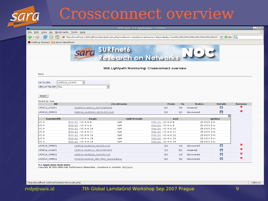### Crossconnect overview

| Getting Started <b>N</b> Latest Headlines |                                                                |                                                 |                           |            |                          |                                    |        |
|-------------------------------------------|----------------------------------------------------------------|-------------------------------------------------|---------------------------|------------|--------------------------|------------------------------------|--------|
|                                           |                                                                | sara SURFnet6<br>Research on Networks           |                           |            |                          |                                    |        |
|                                           |                                                                | SN6 Lightpath Monitoring: Crossconnect overview |                           |            |                          |                                    |        |
| <b>Back</b>                               |                                                                |                                                 |                           |            |                          |                                    |        |
| <b>NE FILTER:</b>                         | 킈<br>Ut001a_ome01                                              |                                                 |                           |            |                          |                                    |        |
| CIRCUIT FILTER: ALL                       |                                                                | $\vert \cdot \vert$                             |                           |            |                          |                                    |        |
|                                           |                                                                |                                                 |                           |            |                          |                                    |        |
| reset                                     |                                                                |                                                 |                           |            |                          |                                    |        |
| Sorted by: host                           |                                                                |                                                 |                           |            |                          |                                    |        |
|                                           |                                                                | circuitname                                     | From                      | To         | <b>Status</b>            | <b>Details</b>                     | Remove |
| <b>NE</b>                                 |                                                                |                                                 |                           |            |                          | ø                                  |        |
| Ut001a_ome01                              | Asd002a-Ut001a GE1(OWINSP)                                     |                                                 | 9/1                       | 3/3        | reserved                 |                                    |        |
| Ut001A OME01                              | Ed001A Asd002A GE1(L2SS Ed)                                    |                                                 | 9/1                       | 2/1        | discovered               | $\Box$                             | ×      |
| bandwidth                                 |                                                                |                                                 |                           |            |                          | $\overline{\mathbf{x}}$            |        |
| $VC-4$                                    | begin<br>POS 9/1; VC-4 nr 8                                    | switch-mate<br>N/A                              | end<br>POS 2/1; VC-4 nr 8 |            | 25 d 0 h 3 m             | uptime                             |        |
| $VC-4$                                    | POS 9/1 ; VC-4 nr 9                                            | N/A                                             | POS 2/1; VC-4 nr 9        |            | 25d0h3m                  |                                    |        |
| $VC-4$                                    | POS 9/1; VC-4 nr 10                                            | N/A                                             | POS 2/1; VC-4 nr 10       |            | 25 d 0 h 3 m             |                                    |        |
| $VC-4$                                    | POS 9/1 ; VC-4 nr 11                                           | N/A                                             | POS 2/1; VC-4 nr 11       |            | 25 d 0 h 3 m             |                                    |        |
| $VC-4$                                    | POS 9/1 ; VC-4 nr 12                                           | N/A                                             | POS 2/1 ; VC-4 nr 12      |            | 25 d 0 h 3 m             |                                    |        |
| $VC-4$                                    | POS 9/1; VC-4 nr 13                                            | N/A                                             | POS 2/1; VC-4 nr 13       |            | 25 d 0 h 3 m             |                                    |        |
| $VC-4$                                    | POS 9/1 ; VC-4 nr 14                                           | N/A                                             | POS 2/1; VC-4 nr 14       |            | 25 d 0 h 3 m             |                                    | ⊠      |
| Ut001A_OME01                              | Ut001A-Asd001A Ge1(OU-Ut)                                      |                                                 | 2/1                       | 1/3        | discovered               | $\Box$                             | ×      |
| Ut001a ome01                              | Ut001a-Asd001a GE1(OWINSP)                                     |                                                 | $1/1$                     | 6/1        | reserved                 | $\bullet$                          |        |
| Ut001A OME01<br>Ut001A_OME01              | Ut001A-Asd002A Ge1(OU-Ut)<br>UT001A-Dt001A GE1-TNO Soesterberg |                                                 | 9/1<br>6/1                | 1/4<br>3/2 | discovered<br>discovered | $\boldsymbol{\Omega}$<br>$\bullet$ | ×      |

http://localhost:12631/tl1/sn6/sn6circuits.php

Adblock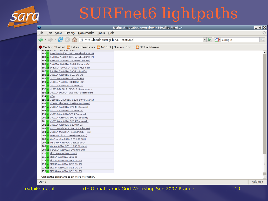## SURFnet6 lightpaths

|      |                                                                             | Lighpath status overview - Mozilla Firefox | E X                  |
|------|-----------------------------------------------------------------------------|--------------------------------------------|----------------------|
|      | Eile Edit View History Bookmarks Tools Help                                 |                                            | $\langle \rangle$    |
|      | 4 - C & 1 B http://localhost/cgi-bin/LP-status.pl                           | $ G $ Google<br>$\blacksquare$             | $\mathbb{Q}$         |
|      | ♦ Getting Started A Latest Headlines A NOS.nl   Nieuws, Spo A DFT.nl Nieuws |                                            |                      |
|      | 182 up Spl001A-Asd001 GE1(InHolland SN6 IP)                                 |                                            | $\blacktriangle$     |
|      | 183 up Spl001A-Asd002 GE1(InHolland SN6 IP)                                 |                                            |                      |
|      | 184 up Spl001A Gv001A Gel(InHolland-Gv)                                     |                                            |                      |
|      | 185 up Spl001A Gv001A Ge2(InHolland-Gv)                                     |                                            |                      |
|      | 186 up Std001A Ehv001A Gel(Fontys-Std)                                      |                                            |                      |
|      | 187 up Tb001A Ehv001A Gel(Fontys-Tb)                                        |                                            |                      |
|      | 188 up Ut001A-Asd001A GE1(OU-Ut)                                            |                                            |                      |
|      | 189 up Ut001A-Asd001A GE1(OU Ut)                                            |                                            |                      |
|      | 190 up Ut001a-Asd001a GE1(OWINSP)<br>191 up Ut001A-Asd002A Ge1(OU-Ut)       |                                            |                      |
|      | 192 up Ut001A-Dt001A GE-TNO Soesterberg                                     |                                            |                      |
|      | 193 up Ut001A-DT001A GE1-TNO Soesterberg                                    |                                            |                      |
|      | 194 up VC4                                                                  |                                            |                      |
|      | 195 up Veg001A Ehv001A Ge1(Fontys-Veghel)                                   |                                            |                      |
|      | 196 up Vl002A Ehv001A Ge1(Fontys-Venlo)                                     |                                            |                      |
|      | 197 up Vs001A-Asd001A 3VC4(HZeeland)                                        |                                            |                      |
|      | 198 up Vs001A-Asd001A Ge1(OU-Vs)                                            |                                            |                      |
|      | 199 up Vs001A-Asd002A3VC4(Roosevelt)                                        |                                            |                      |
|      | 200 up Vs001A-Asd002A 1VC4(HZeeland)                                        |                                            |                      |
|      | 201 up Vs001A-Asd002A 3VC4(Roosevelt)                                       |                                            |                      |
|      | 202 up Vs001A-Asd002A Ge1(OU-Vs)                                            |                                            |                      |
|      | 203 up Vs001A-Mdb001A Ge(LP Zebi Hzee)                                      |                                            |                      |
|      | 204 up Vs001A-Mdb001A Ge2(LP Zebi Hzee)                                     |                                            |                      |
|      | 205 up Wq001A-Lis001A GE3(WUR-DLO)                                          |                                            |                      |
|      | 206 up Ws-Emn-Asd002A GE1(L2SS01)                                           |                                            |                      |
|      | 207 up Ws-Emn-Asd002A GelL2SS01)                                            |                                            |                      |
|      | 208 up Ws Asd001A GE1 (L2SS-Ws-Mp)                                          |                                            |                      |
|      | 209 up Yer001A-Asd002A 1VC4(NIOO)                                           |                                            |                      |
|      | 210 up Zl001A-Asd001A-L2ss-01<br>211 up Zl001A-Asd002A-L2ss-01              |                                            |                      |
|      |                                                                             |                                            |                      |
|      | 212 up Zl003A-Asd001A GE2(OU-Zl)<br>213 up Zl003A-Asd001A GE2(OU Zl)        |                                            |                      |
|      | 214 up Zl003A-Asd002A GE2(OU-Zl)                                            |                                            |                      |
|      | 215 up Zl003A-Asd002A GE2(OU Zl)                                            |                                            |                      |
|      |                                                                             |                                            |                      |
|      | Click on the circuitname to get more information.                           |                                            | $\blacktriangledown$ |
| Done |                                                                             |                                            | Adblock              |

Done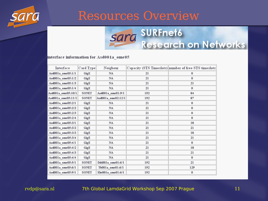

#### Resources Overview



#### interface information for Asd001a ome05

| Interface          | Card Type    | Neigbour           |     | Capacity (STS Timeslots) number of free STS timeslots |
|--------------------|--------------|--------------------|-----|-------------------------------------------------------|
| Asd001a ome05:1/1  | GigE         | <b>NA</b>          | 21  | 0                                                     |
| Asd001a ome05:1/2  | GigE         | <b>NA</b>          | 21  | $\bf{0}$                                              |
| Asd001a ome05:1/3  | GigE         | <b>NA</b>          | 21  | 21                                                    |
| Asd001a_ome05:1/4  | GigE         | <b>NA</b>          | 21  | $\bf{0}$                                              |
| Asd001a ome05:10/1 | <b>SONET</b> | Asd001a_ome01:9/1  | 192 | 84                                                    |
| Asd001a_ome05:11/1 | <b>SONET</b> | Asd001a_ome02:12/1 | 192 | 87                                                    |
| Asd001a ome05:2/1  | GigE         | <b>NA</b>          | 21  | $\bf{0}$                                              |
| Asd001a ome05:2/2  | GigE         | <b>NA</b>          | 21  | 0                                                     |
| Asd001a ome05:2/3  | GigE         | <b>NA</b>          | 21  | 0                                                     |
| Asd001a ome05:2/4  | GigE         | <b>NA</b>          | 21  | $\bf{0}$                                              |
| Asd001a ome05:3/1  | GigE         | <b>NA</b>          | 21  | 18                                                    |
| Asd001a_ome05:3/2  | GigE         | NA                 | 21  | 21                                                    |
| Asd001a ome05:3/3  | GigE         | <b>NA</b>          | 21  | 18                                                    |
| Asd001a ome05:3/4  | GigE         | <b>NA</b>          | 21  | 21                                                    |
| Asd001a ome05:4/1  | GigE         | <b>NA</b>          | 21  | $\bf{0}$                                              |
| Asd001a_ome05:4/2  | GigE         | <b>NA</b>          | 21  | 18                                                    |
| Asd001a ome05:4/3  | GigE         | <b>NA</b>          | 21  | 21                                                    |
| Asd001a ome05:4/4  | GigE         | <b>NA</b>          | 21  | $\bf{0}$                                              |
| Asd001a_ome05:5/1  | <b>SONET</b> | Ddt001a ome01:6/1  | 192 | 21                                                    |
| Asd001a_ome05:6/1  | SONET        | Tb001a_ome01:6/1   | 192 | 129                                                   |
| Asd001a ome05:9/1  | SONET        | Ehv001a ome01:6/1  | 192 | 0                                                     |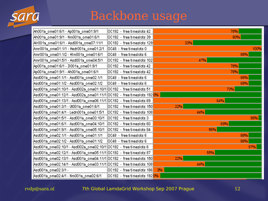

#### Backbone usage

| Ah001a_ome01:6/1 - Ap001a_ome01:9/1                                                 | OC192 - free timeslots 42    | 78%  |
|-------------------------------------------------------------------------------------|------------------------------|------|
| Ah001a_ome01:9/1 - Nm001a_ome01:6/1                                                 | OC192 - free timeslots 39    | 80%  |
| Alr001a_ome01:6/1 - Asd001a_ome07:11/1                                              | OC192 - free timeslots 129   | 33%  |
| Amr001a_ome01:1/1 - Hedr001a_ome01:2/1                                              | OC48 - free timeslots 0      | 100% |
| Amr001a_ome01:1/2 - HIm001a_ome01:6/1                                               | OC48 - free timeslots 6      | 88%  |
| Amr001a_ome01:5/1 - Asd001a_ome04:5/1                                               | OC192 - free timeslots 102   | 47%  |
| Ap001a_ome01:6/1 - Zl001a_ome01:9/1                                                 | OC192 - free timeslots 42    | 78%  |
| Ap001a_ome01:9/1 - Ah001a_ome01:6/1                                                 | OC192 - free timeslots 42    | 78%  |
| Asd001a_ome01:1/1 - Asd001a_ome02:1/1                                               | OC48 - free timeslots 6      | 88%  |
| Asd001a_ome01:1/2 - Asd001a_ome02:1/2                                               | OC48 - free timeslots 6      | 88%  |
| Asd001a_ome01:10/1 - Asd002a_ome01:10/1                                             | OC192 - free timeslots 51    | 73%  |
| Asd001a_ome01:12/1 - Asd002a_ome01:11/1 OC192  - free timeslots 192 <mark>0%</mark> |                              |      |
| Asd001a_ome01:13/1 - Asd001a_ome06:11/1 OC192 - free timeslots 69                   |                              | 64%  |
| Asd001a_ome01:3/1 - Ut001a_ome01:6/1                                                | OC192 - free timeslots 150   | 22%  |
| Asd001a_ome01:4/1 - Ledn001a_ome01:5/1_                                             | OC192 - free timeslots 108   | 44%  |
| Asd001a_ome01:5/1 - Asd001a_ome03:10/1                                              | OC192 - free timeslots 3     | 98%  |
| Asd001a_ome01:6/1 - Asd001a_ome04:10/1                                              | OC192 - free timeslots 60    | 69%  |
| Asd001a_ome01:9/1 - Asd001a_ome05:10/1                                              | OC192 - free timeslots 84    | 56%  |
| Asd001a_ome02:1/1 - Asd001a_ome01:1/1                                               | OC48 - free timeslots 6      | 88%  |
| Asd001a_ome02:1/2 - Asd001a_ome01:1/2                                               | OC48 - free timeslots 6      | 88%  |
| Asd001a_ome02:10/1 - Asd002a_ome02:10/1  OC192  -  free timeslots 6                 |                              | 97%  |
| Asd001a_ome02:12/1 - Asd001a_ome05:11/1 OC192 - free timeslots 87                   |                              | 55%  |
| Asd001a_ome02:13/1 - Asd001a_ome04:11/1 OC192 - free timeslots 150                  |                              | 22%  |
| Asd001a_ome02:14/1 - Asd001a_ome03:11/1 OC192  - free timeslots 108                 |                              | 44%  |
| Asd001a_ome02:3/1 -                                                                 | 0C192 - free timeslots 186   | 3%   |
| Asd001a_ome02:4/1 - Nm001a_ome02:6/1                                                | 0C192 - free timeslots 1920% |      |
|                                                                                     |                              |      |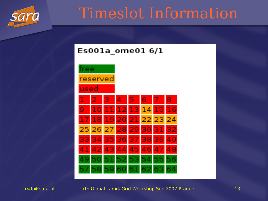

## Timeslot Information

#### $E$ s001a ome01 6/1

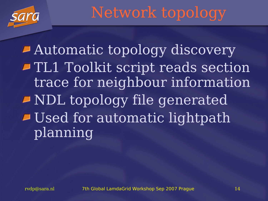

Network topology

Automatic topology discovery TL1 Toolkit script reads section trace for neighbour information NDL topology file generated **Dised for automatic lightpath** planning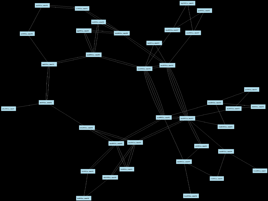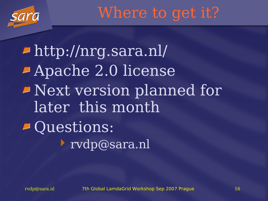

Where to get it?

http://nrg.sara.nl/ Apache 2.0 license Next version planned for later this month Questions: rvdp@sara.nl